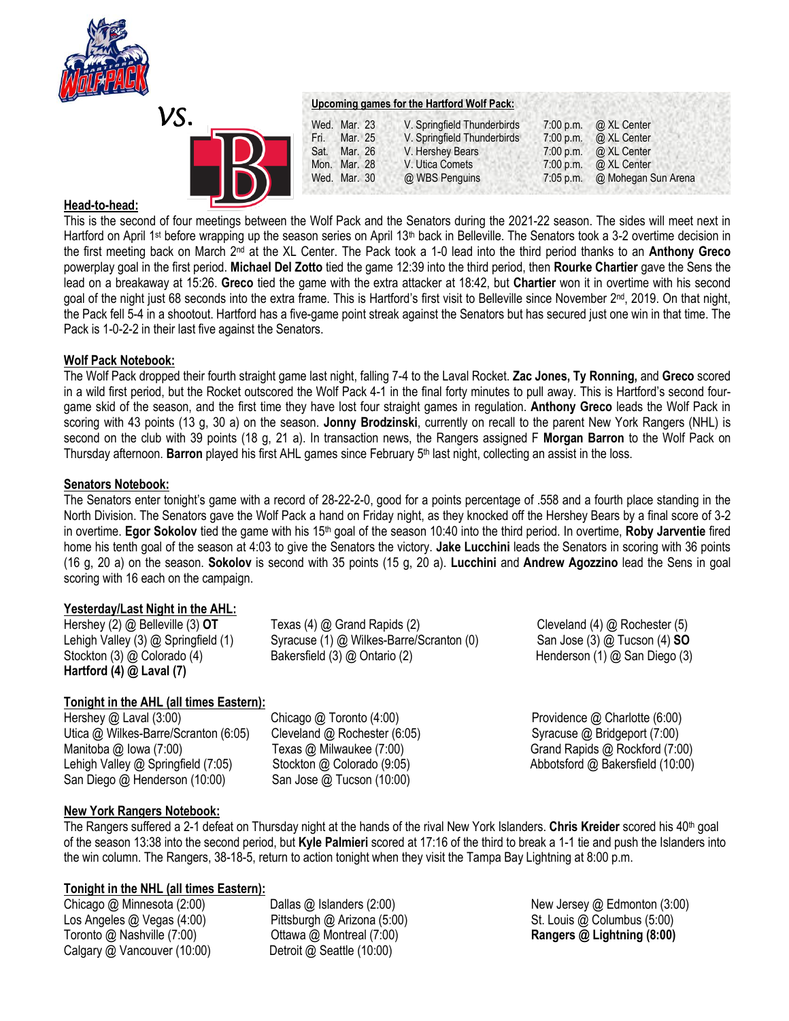

*VS.* 

|      |              | Upcoming games for the Hartford Wolf Pack: |             |                       |
|------|--------------|--------------------------------------------|-------------|-----------------------|
|      | Wed. Mar. 23 | V. Springfield Thunderbirds                | 7:00 p.m.   | @ XL Center           |
| Fri. | Mar. 25      | V. Springfield Thunderbirds                |             | 7:00 p.m. @ XL Center |
|      | Sat. Mar. 26 | V. Hershey Bears                           | 7:00 p.m.   | @ XL Center           |
|      | Mon. Mar. 28 | V. Utica Comets                            | 7:00 p.m.   | @ XL Center           |
|      | Wed. Mar. 30 | @ WBS Penguins                             | $7:05$ p.m. | @ Mohegan Sun Arena   |

# **Head-to-head:**

This is the second of four meetings between the Wolf Pack and the Senators during the 2021-22 season. The sides will meet next in Hartford on April 1<sup>st</sup> before wrapping up the season series on April 13<sup>th</sup> back in Belleville. The Senators took a 3-2 overtime decision in the first meeting back on March 2nd at the XL Center. The Pack took a 1-0 lead into the third period thanks to an **Anthony Greco**  powerplay goal in the first period. **Michael Del Zotto** tied the game 12:39 into the third period, then **Rourke Chartier** gave the Sens the lead on a breakaway at 15:26. **Greco** tied the game with the extra attacker at 18:42, but **Chartier** won it in overtime with his second goal of the night just 68 seconds into the extra frame. This is Hartford's first visit to Belleville since November 2<sup>nd</sup>, 2019. On that night, the Pack fell 5-4 in a shootout. Hartford has a five-game point streak against the Senators but has secured just one win in that time. The Pack is 1-0-2-2 in their last five against the Senators.

# **Wolf Pack Notebook:**

The Wolf Pack dropped their fourth straight game last night, falling 7-4 to the Laval Rocket. **Zac Jones, Ty Ronning,** and **Greco** scored in a wild first period, but the Rocket outscored the Wolf Pack 4-1 in the final forty minutes to pull away. This is Hartford's second fourgame skid of the season, and the first time they have lost four straight games in regulation. **Anthony Greco** leads the Wolf Pack in scoring with 43 points (13 g, 30 a) on the season. **Jonny Brodzinski**, currently on recall to the parent New York Rangers (NHL) is second on the club with 39 points (18 g, 21 a). In transaction news, the Rangers assigned F **Morgan Barron** to the Wolf Pack on Thursday afternoon. **Barron** played his first AHL games since February 5<sup>th</sup> last night, collecting an assist in the loss.

### **Senators Notebook:**

The Senators enter tonight's game with a record of 28-22-2-0, good for a points percentage of .558 and a fourth place standing in the North Division. The Senators gave the Wolf Pack a hand on Friday night, as they knocked off the Hershey Bears by a final score of 3-2 in overtime. **Egor Sokolov** tied the game with his 15th goal of the season 10:40 into the third period. In overtime, **Roby Jarventie** fired home his tenth goal of the season at 4:03 to give the Senators the victory. **Jake Lucchini** leads the Senators in scoring with 36 points (16 g, 20 a) on the season. **Sokolov** is second with 35 points (15 g, 20 a). **Lucchini** and **Andrew Agozzino** lead the Sens in goal scoring with 16 each on the campaign.

### **Yesterday/Last Night in the AHL:**

**Hartford (4) @ Laval (7)**

# **Tonight in the AHL (all times Eastern):**

Hershey @ Laval (3:00) Chicago @ Toronto (4:00) Providence @ Charlotte (6:00) Utica @ Wilkes-Barre/Scranton (6:05) Cleveland @ Rochester (6:05) Syracuse @ Bridgeport (7:00) Manitoba @ Iowa (7:00) Texas @ Milwaukee (7:00) Grand Rapids @ Rockford (7:00) Lehigh Valley @ Springfield (7:05) Stockton @ Colorado (9:05) Superstanding abbotsford @ Bakersfield (10:00) San Diego @ Henderson (10:00) San Jose @ Tucson (10:00)

Hershey (2) @ Belleville (3) **OT** Texas (4) @ Grand Rapids (2) Cleveland (4) @ Rochester (5) Lehigh Valley (3) @ Springfield (1) Syracuse (1) @ Wilkes-Barre/Scranton (0) San Jose (3) @ Tucson (4) **SO** Stockton (3) @ Colorado (4) Bakersfield (3) @ Ontario (2) Henderson (1) @ San Diego (3)

### **New York Rangers Notebook:**

The Rangers suffered a 2-1 defeat on Thursday night at the hands of the rival New York Islanders. **Chris Kreider** scored his 40th goal of the season 13:38 into the second period, but **Kyle Palmieri** scored at 17:16 of the third to break a 1-1 tie and push the Islanders into the win column. The Rangers, 38-18-5, return to action tonight when they visit the Tampa Bay Lightning at 8:00 p.m.

### **Tonight in the NHL (all times Eastern):**

Los Angeles @ Vegas (4:00) Pittsburgh @ Arizona (5:00) St. Louis @ Columbus (5:00) Toronto @ Nashville (7:00) Ottawa @ Montreal (7:00) **Rangers @ Lightning (8:00)** Calgary @ Vancouver (10:00) Detroit @ Seattle (10:00)

Chicago @ Minnesota (2:00) **Dallas @ Islanders (2:00) New Jersey @ Edmonton (3:00)** New Jersey **@ Edmonton (3:00)**